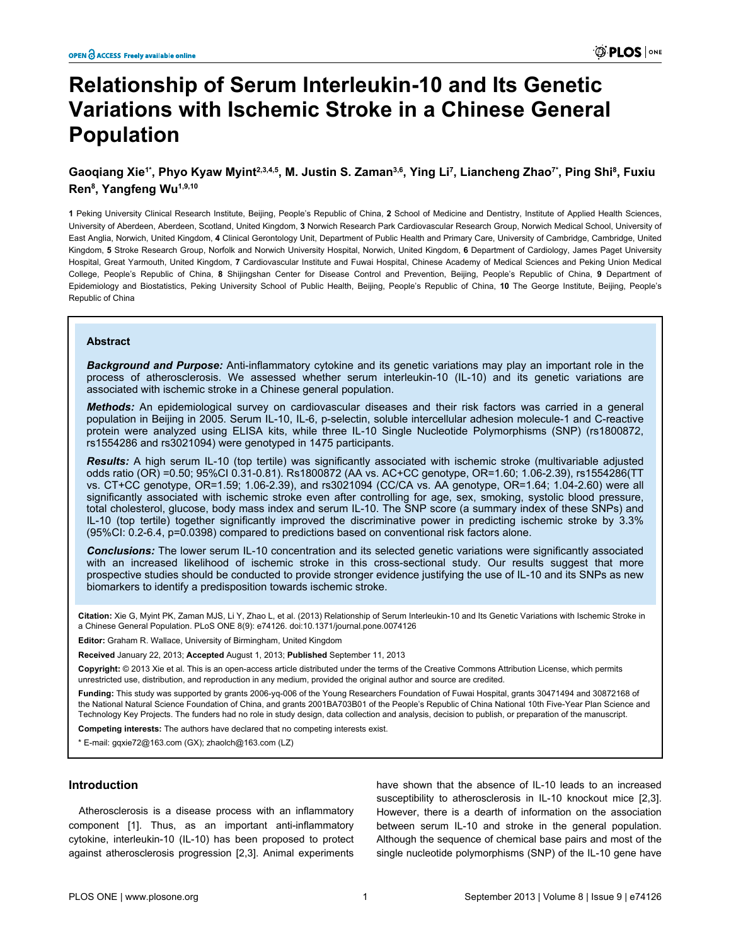# **Relationship of Serum Interleukin-10 and Its Genetic Variations with Ischemic Stroke in a Chinese General Population**

# **Gaoqiang Xie1\*, Phyo Kyaw Myint2,3,4,5, M. Justin S. Zaman3,6, Ying Li<sup>7</sup> , Liancheng Zhao7\*, Ping Shi<sup>8</sup> , Fuxiu Ren<sup>8</sup> , Yangfeng Wu1,9,10**

**1** Peking University Clinical Research Institute, Beijing, People's Republic of China, **2** School of Medicine and Dentistry, Institute of Applied Health Sciences, University of Aberdeen, Aberdeen, Scotland, United Kingdom, **3** Norwich Research Park Cardiovascular Research Group, Norwich Medical School, University of East Anglia, Norwich, United Kingdom, **4** Clinical Gerontology Unit, Department of Public Health and Primary Care, University of Cambridge, Cambridge, United Kingdom, **5** Stroke Research Group, Norfolk and Norwich University Hospital, Norwich, United Kingdom, **6** Department of Cardiology, James Paget University Hospital, Great Yarmouth, United Kingdom, **7** Cardiovascular Institute and Fuwai Hospital, Chinese Academy of Medical Sciences and Peking Union Medical College, People's Republic of China, **8** Shijingshan Center for Disease Control and Prevention, Beijing, People's Republic of China, **9** Department of Epidemiology and Biostatistics, Peking University School of Public Health, Beijing, People's Republic of China, **10** The George Institute, Beijing, People's Republic of China

# **Abstract**

*Background and Purpose:* Anti-inflammatory cytokine and its genetic variations may play an important role in the process of atherosclerosis. We assessed whether serum interleukin-10 (IL-10) and its genetic variations are associated with ischemic stroke in a Chinese general population.

*Methods:* An epidemiological survey on cardiovascular diseases and their risk factors was carried in a general population in Beijing in 2005. Serum IL-10, IL-6, p-selectin, soluble intercellular adhesion molecule-1 and C-reactive protein were analyzed using ELISA kits, while three IL-10 Single Nucleotide Polymorphisms (SNP) (rs1800872, rs1554286 and rs3021094) were genotyped in 1475 participants.

*Results:* A high serum IL-10 (top tertile) was significantly associated with ischemic stroke (multivariable adjusted odds ratio (OR) =0.50; 95%CI 0.31-0.81). Rs1800872 (AA vs. AC+CC genotype, OR=1.60; 1.06-2.39), rs1554286(TT vs. CT+CC genotype, OR=1.59; 1.06-2.39), and rs3021094 (CC/CA vs. AA genotype, OR=1.64; 1.04-2.60) were all significantly associated with ischemic stroke even after controlling for age, sex, smoking, systolic blood pressure, total cholesterol, glucose, body mass index and serum IL-10. The SNP score (a summary index of these SNPs) and IL-10 (top tertile) together significantly improved the discriminative power in predicting ischemic stroke by 3.3% (95%CI: 0.2-6.4, p=0.0398) compared to predictions based on conventional risk factors alone.

*Conclusions:* The lower serum IL-10 concentration and its selected genetic variations were significantly associated with an increased likelihood of ischemic stroke in this cross-sectional study. Our results suggest that more prospective studies should be conducted to provide stronger evidence justifying the use of IL-10 and its SNPs as new biomarkers to identify a predisposition towards ischemic stroke.

**Citation:** Xie G, Myint PK, Zaman MJS, Li Y, Zhao L, et al. (2013) Relationship of Serum Interleukin-10 and Its Genetic Variations with Ischemic Stroke in a Chinese General Population. PLoS ONE 8(9): e74126. doi:10.1371/journal.pone.0074126

**Editor:** Graham R. Wallace, University of Birmingham, United Kingdom

**Received** January 22, 2013; **Accepted** August 1, 2013; **Published** September 11, 2013

**Copyright:** © 2013 Xie et al. This is an open-access article distributed under the terms of the Creative Commons Attribution License, which permits unrestricted use, distribution, and reproduction in any medium, provided the original author and source are credited.

**Funding:** This study was supported by grants 2006-yq-006 of the Young Researchers Foundation of Fuwai Hospital, grants 30471494 and 30872168 of the National Natural Science Foundation of China, and grants 2001BA703B01 of the People's Republic of China National 10th Five-Year Plan Science and Technology Key Projects. The funders had no role in study design, data collection and analysis, decision to publish, or preparation of the manuscript.

**Competing interests:** The authors have declared that no competing interests exist.

\* E-mail: gqxie72@163.com (GX); zhaolch@163.com (LZ)

#### **Introduction**

Atherosclerosis is a disease process with an inflammatory component [\[1](#page-7-0)]. Thus, as an important anti-inflammatory cytokine, interleukin-10 (IL-10) has been proposed to protect against atherosclerosis progression [\[2,3](#page-7-0)]. Animal experiments have shown that the absence of IL-10 leads to an increased susceptibility to atherosclerosis in IL-10 knockout mice [[2,3\]](#page-7-0). However, there is a dearth of information on the association between serum IL-10 and stroke in the general population. Although the sequence of chemical base pairs and most of the single nucleotide polymorphisms (SNP) of the IL-10 gene have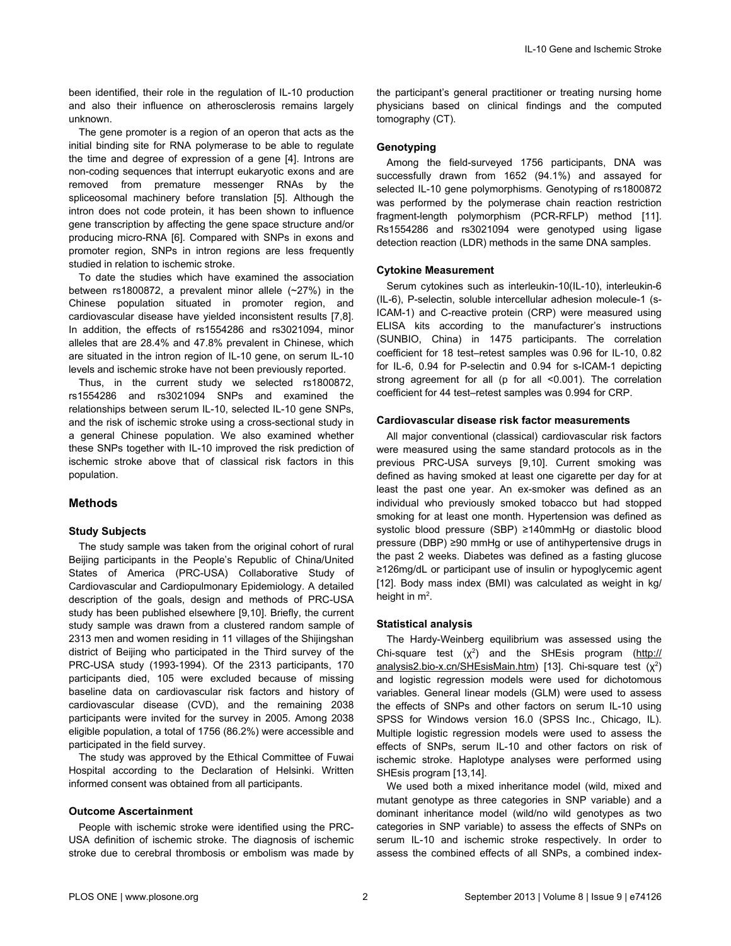been identified, their role in the regulation of IL-10 production and also their influence on atherosclerosis remains largely unknown.

The gene promoter is a region of an operon that acts as the initial binding site for RNA polymerase to be able to regulate the time and degree of expression of a gene [\[4\]](#page-7-0). Introns are non-coding sequences that interrupt eukaryotic exons and are removed from premature messenger RNAs by the spliceosomal machinery before translation [[5](#page-7-0)]. Although the intron does not code protein, it has been shown to influence gene transcription by affecting the gene space structure and/or producing micro-RNA [[6\]](#page-7-0). Compared with SNPs in exons and promoter region, SNPs in intron regions are less frequently studied in relation to ischemic stroke.

To date the studies which have examined the association between rs1800872, a prevalent minor allele (~27%) in the Chinese population situated in promoter region, and cardiovascular disease have yielded inconsistent results [[7,8\]](#page-7-0). In addition, the effects of rs1554286 and rs3021094, minor alleles that are 28.4% and 47.8% prevalent in Chinese, which are situated in the intron region of IL-10 gene, on serum IL-10 levels and ischemic stroke have not been previously reported.

Thus, in the current study we selected rs1800872, rs1554286 and rs3021094 SNPs and examined the relationships between serum IL-10, selected IL-10 gene SNPs, and the risk of ischemic stroke using a cross-sectional study in a general Chinese population. We also examined whether these SNPs together with IL-10 improved the risk prediction of ischemic stroke above that of classical risk factors in this population.

# **Methods**

#### **Study Subjects**

The study sample was taken from the original cohort of rural Beijing participants in the People's Republic of China/United States of America (PRC-USA) Collaborative Study of Cardiovascular and Cardiopulmonary Epidemiology. A detailed description of the goals, design and methods of PRC-USA study has been published elsewhere [\[9,10\]](#page-7-0). Briefly, the current study sample was drawn from a clustered random sample of 2313 men and women residing in 11 villages of the Shijingshan district of Beijing who participated in the Third survey of the PRC-USA study (1993-1994). Of the 2313 participants, 170 participants died, 105 were excluded because of missing baseline data on cardiovascular risk factors and history of cardiovascular disease (CVD), and the remaining 2038 participants were invited for the survey in 2005. Among 2038 eligible population, a total of 1756 (86.2%) were accessible and participated in the field survey.

The study was approved by the Ethical Committee of Fuwai Hospital according to the Declaration of Helsinki. Written informed consent was obtained from all participants.

#### **Outcome Ascertainment**

People with ischemic stroke were identified using the PRC-USA definition of ischemic stroke. The diagnosis of ischemic stroke due to cerebral thrombosis or embolism was made by

the participant's general practitioner or treating nursing home physicians based on clinical findings and the computed tomography (CT).

#### **Genotyping**

Among the field-surveyed 1756 participants, DNA was successfully drawn from 1652 (94.1%) and assayed for selected IL-10 gene polymorphisms. Genotyping of rs1800872 was performed by the polymerase chain reaction restriction fragment-length polymorphism (PCR-RFLP) method [\[11\]](#page-7-0). Rs1554286 and rs3021094 were genotyped using ligase detection reaction (LDR) methods in the same DNA samples.

#### **Cytokine Measurement**

Serum cytokines such as interleukin-10(IL-10), interleukin-6 (IL-6), P-selectin, soluble intercellular adhesion molecule-1 (s-ICAM-1) and C-reactive protein (CRP) were measured using ELISA kits according to the manufacturer's instructions (SUNBIO, China) in 1475 participants. The correlation coefficient for 18 test–retest samples was 0.96 for IL-10, 0.82 for IL-6, 0.94 for P-selectin and 0.94 for s-ICAM-1 depicting strong agreement for all (p for all <0.001). The correlation coefficient for 44 test–retest samples was 0.994 for CRP.

#### **Cardiovascular disease risk factor measurements**

All major conventional (classical) cardiovascular risk factors were measured using the same standard protocols as in the previous PRC-USA surveys [[9,10](#page-7-0)]. Current smoking was defined as having smoked at least one cigarette per day for at least the past one year. An ex-smoker was defined as an individual who previously smoked tobacco but had stopped smoking for at least one month. Hypertension was defined as systolic blood pressure (SBP) ≥140mmHg or diastolic blood pressure (DBP) ≥90 mmHg or use of antihypertensive drugs in the past 2 weeks. Diabetes was defined as a fasting glucose ≥126mg/dL or participant use of insulin or hypoglycemic agent [[12](#page-8-0)]. Body mass index (BMI) was calculated as weight in kg/ height in m<sup>2</sup>.

#### **Statistical analysis**

The Hardy-Weinberg equilibrium was assessed using the Chi-square test  $(x^2)$  and the SHEsis program [\(http://](http://analysis2.bio-x.cn/shesismain.htm) [analysis2.bio-x.cn/SHEsisMain.htm](http://analysis2.bio-x.cn/shesismain.htm)) [\[13\]](#page-8-0). Chi-square test (χ<sup>2</sup>) and logistic regression models were used for dichotomous variables. General linear models (GLM) were used to assess the effects of SNPs and other factors on serum IL-10 using SPSS for Windows version 16.0 (SPSS Inc., Chicago, IL). Multiple logistic regression models were used to assess the effects of SNPs, serum IL-10 and other factors on risk of ischemic stroke. Haplotype analyses were performed using SHEsis program [\[13,14](#page-8-0)].

We used both a mixed inheritance model (wild, mixed and mutant genotype as three categories in SNP variable) and a dominant inheritance model (wild/no wild genotypes as two categories in SNP variable) to assess the effects of SNPs on serum IL-10 and ischemic stroke respectively. In order to assess the combined effects of all SNPs, a combined index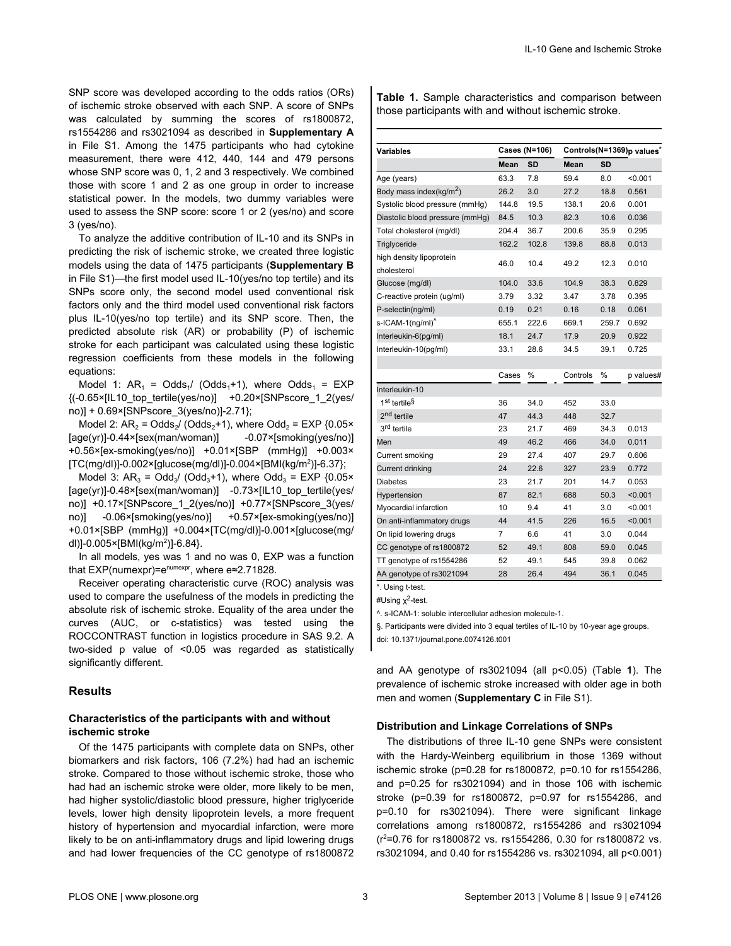<span id="page-2-0"></span>SNP score was developed according to the odds ratios (ORs) of ischemic stroke observed with each SNP. A score of SNPs was calculated by summing the scores of rs1800872, rs1554286 and rs3021094 as described in **Supplementary A** in [File S1](#page-7-0). Among the 1475 participants who had cytokine measurement, there were 412, 440, 144 and 479 persons whose SNP score was 0, 1, 2 and 3 respectively. We combined those with score 1 and 2 as one group in order to increase statistical power. In the models, two dummy variables were used to assess the SNP score: score 1 or 2 (yes/no) and score 3 (yes/no).

To analyze the additive contribution of IL-10 and its SNPs in predicting the risk of ischemic stroke, we created three logistic models using the data of 1475 participants (**Supplementary B** in [File S1](#page-7-0))—the first model used IL-10(yes/no top tertile) and its SNPs score only, the second model used conventional risk factors only and the third model used conventional risk factors plus IL-10(yes/no top tertile) and its SNP score. Then, the predicted absolute risk (AR) or probability (P) of ischemic stroke for each participant was calculated using these logistic regression coefficients from these models in the following equations:

Model 1:  $AR_1 = Odds_1 / (Odds_1 + 1)$ , where  $Odds_1 = EXP$  $\{(-0.65 \times |110 \text{ top-tertile}(yes/no))\}$  +0.20×[SNPscore 1 2(yes/ no)] + 0.69×[SNPscore\_3(yes/no)]-2.71};

Model 2:  $AR_2$  = Odds<sub>2</sub>/ (Odds<sub>2</sub>+1), where Odd<sub>2</sub> = EXP {0.05× [age(yr)]-0.44×[sex(man/woman)] -0.07×[smoking(yes/no)] +0.56×[ex-smoking(yes/no)] +0.01×[SBP (mmHg)] +0.003× [TC(mg/dl)]-0.002×[glucose(mg/dl)]-0.004×[BMI(kg/m<sup>2</sup> )]-6.37};

Model 3:  $AR_3 = Odd_3/$  (Odd<sub>3</sub>+1), where Odd<sub>3</sub> = EXP {0.05× [age(yr)]-0.48×[sex(man/woman)] -0.73×[IL10\_top\_tertile(yes/ no)] +0.17×[SNPscore\_1\_2(yes/no)] +0.77×[SNPscore\_3(yes/ no)] -0.06×[smoking(yes/no)] +0.57×[ex-smoking(yes/no)] +0.01×[SBP (mmHg)] +0.004×[TC(mg/dl)]-0.001×[glucose(mg/ dl)]-0.005×[BMI(kg/m<sup>2</sup> )]-6.84}.

In all models, yes was 1 and no was 0, EXP was a function that EXP(numexpr)=e<sup>numexpr</sup>, where e≈2.71828.

Receiver operating characteristic curve (ROC) analysis was used to compare the usefulness of the models in predicting the absolute risk of ischemic stroke. Equality of the area under the curves (AUC, or c-statistics) was tested using the ROCCONTRAST function in logistics procedure in SAS 9.2. A two-sided p value of <0.05 was regarded as statistically significantly different.

# **Results**

#### **Characteristics of the participants with and without ischemic stroke**

Of the 1475 participants with complete data on SNPs, other biomarkers and risk factors, 106 (7.2%) had had an ischemic stroke. Compared to those without ischemic stroke, those who had had an ischemic stroke were older, more likely to be men, had higher systolic/diastolic blood pressure, higher triglyceride levels, lower high density lipoprotein levels, a more frequent history of hypertension and myocardial infarction, were more likely to be on anti-inflammatory drugs and lipid lowering drugs and had lower frequencies of the CC genotype of rs1800872

**Table 1.** Sample characteristics and comparison between those participants with and without ischemic stroke.

| <b>Variables</b>                        | Cases (N=106) |       | Controls(N=1369)p values <sup>*</sup> |       |           |
|-----------------------------------------|---------------|-------|---------------------------------------|-------|-----------|
|                                         | Mean<br>SD    |       | Mean<br>SD                            |       |           |
| Age (years)                             | 63.3          | 7.8   | 59.4                                  | 8.0   | < 0.001   |
| Body mass index(kg/m <sup>2</sup> )     | 26.2          | 3.0   | 27.2                                  | 18.8  | 0.561     |
| Systolic blood pressure (mmHg)          | 144.8         | 19.5  | 138.1                                 | 20.6  | 0.001     |
| Diastolic blood pressure (mmHg)         | 84.5          | 10.3  | 82.3                                  | 10.6  | 0.036     |
| Total cholesterol (mg/dl)               | 204.4         | 36.7  | 200.6                                 | 35.9  | 0.295     |
| Triglyceride                            | 162.2         | 102.8 | 139.8                                 | 88.8  | 0.013     |
| high density lipoprotein<br>cholesterol | 46.0          | 10.4  | 49.2                                  | 12.3  | 0.010     |
| Glucose (mg/dl)                         | 104.0         | 33.6  | 104.9                                 | 38.3  | 0.829     |
| C-reactive protein (ug/ml)              | 3.79          | 3.32  | 3.47                                  | 3.78  | 0.395     |
| P-selectin(ng/ml)                       | 0.19          | 0.21  | 0.16                                  | 0.18  | 0.061     |
| s-ICAM-1(ng/ml) <sup>^</sup>            | 655.1         | 222.6 | 669.1                                 | 259.7 | 0.692     |
| Interleukin-6(pg/ml)                    | 18.1          | 24.7  | 17.9                                  | 20.9  | 0.922     |
| Interleukin-10(pg/ml)                   | 33.1          | 28.6  | 34.5                                  | 39.1  | 0.725     |
|                                         |               |       |                                       |       |           |
|                                         | Cases         | %     | Controls                              | %     | p values# |
| Interleukin-10                          |               |       |                                       |       |           |
| 1 <sup>st</sup> tertile <sup>§</sup>    | 36            | 34.0  | 452                                   | 33.0  |           |
| 2 <sup>nd</sup> tertile                 | 47            | 44.3  | 448                                   | 32.7  |           |
| 3 <sup>rd</sup> tertile                 | 23            | 21.7  | 469                                   | 34.3  | 0.013     |
| Men                                     | 49            | 46.2  | 466                                   | 34.0  | 0.011     |
| Current smoking                         | 29            | 27.4  | 407                                   | 29.7  | 0.606     |
| Current drinking                        | 24            | 22.6  | 327                                   | 23.9  | 0.772     |
| <b>Diabetes</b>                         | 23            | 21.7  | 201                                   | 14.7  | 0.053     |
| Hypertension                            | 87            | 82.1  | 688                                   | 50.3  | < 0.001   |
| Myocardial infarction                   | 10            | 9.4   | 41                                    | 3.0   | < 0.001   |
| On anti-inflammatory drugs              | 44            | 41.5  | 226                                   | 16.5  | < 0.001   |
| On lipid lowering drugs                 | 7             | 6.6   | 41                                    | 3.0   | 0.044     |
| CC genotype of rs1800872                | 52            | 49.1  | 808                                   | 59.0  | 0.045     |
| TT genotype of rs1554286                | 52            | 49.1  | 545                                   | 39.8  | 0.062     |
| AA genotype of rs3021094                | 28            | 26.4  | 494                                   | 36.1  | 0.045     |

\*. Using t-test.

#Using x<sup>2</sup>-test.

^. s-ICAM-1: soluble intercellular adhesion molecule-1.

§. Participants were divided into 3 equal tertiles of IL-10 by 10-year age groups.

doi: 10.1371/journal.pone.0074126.t001

and AA genotype of rs3021094 (all p<0.05) (Table **1**). The prevalence of ischemic stroke increased with older age in both men and women (**Supplementary C** in [File S1](#page-7-0)).

#### **Distribution and Linkage Correlations of SNPs**

The distributions of three IL-10 gene SNPs were consistent with the Hardy-Weinberg equilibrium in those 1369 without ischemic stroke (p=0.28 for rs1800872, p=0.10 for rs1554286, and p=0.25 for rs3021094) and in those 106 with ischemic stroke (p=0.39 for rs1800872, p=0.97 for rs1554286, and p=0.10 for rs3021094). There were significant linkage correlations among rs1800872, rs1554286 and rs3021094 (r<sup>2</sup>=0.76 for rs1800872 vs. rs1554286, 0.30 for rs1800872 vs. rs3021094, and 0.40 for rs1554286 vs. rs3021094, all p<0.001)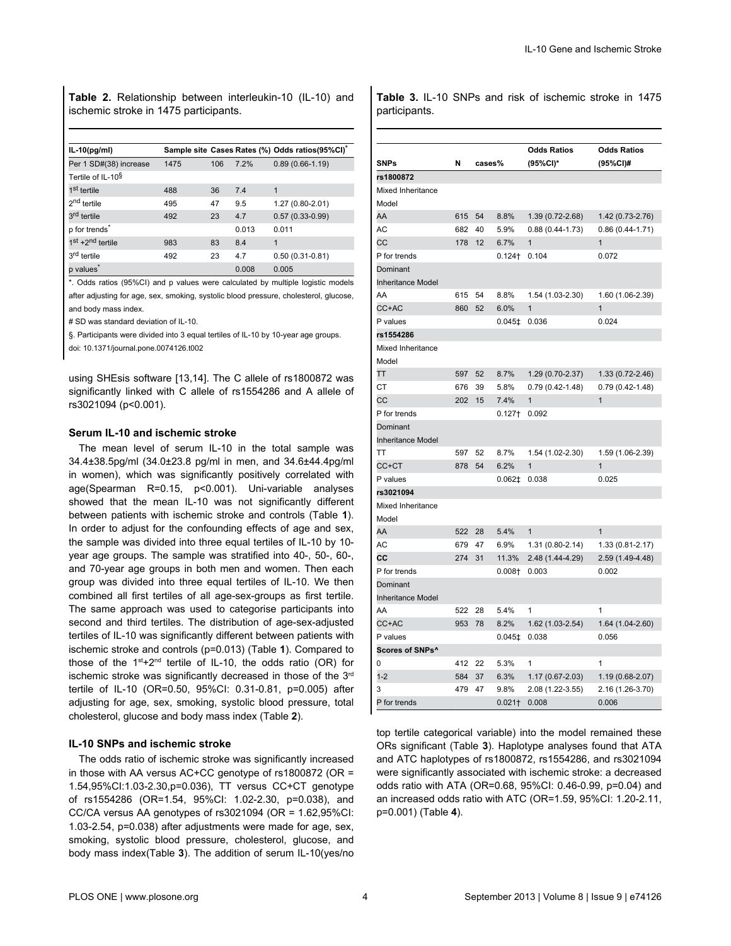**Table 2.** Relationship between interleukin-10 (IL-10) and ischemic stroke in 1475 participants.

| $IL-10(pg/ml)$                |      |     |       | Sample site Cases Rates (%) Odds ratios(95%CI) |
|-------------------------------|------|-----|-------|------------------------------------------------|
| Per 1 SD#(38) increase        | 1475 | 106 | 7.2%  | $0.89(0.66-1.19)$                              |
| Tertile of IL-10 <sup>§</sup> |      |     |       |                                                |
| 1 <sup>st</sup> tertile       | 488  | 36  | 7.4   | 1                                              |
| 2 <sup>nd</sup> tertile       | 495  | 47  | 9.5   | $1.27(0.80-2.01)$                              |
| 3 <sup>rd</sup> tertile       | 492  | 23  | 4.7   | $0.57(0.33 - 0.99)$                            |
| p for trends <sup>*</sup>     |      |     | 0.013 | 0.011                                          |
| $1st + 2nd$ tertile           | 983  | 83  | 8.4   | 1                                              |
| 3 <sup>rd</sup> tertile       | 492  | 23  | 4.7   | $0.50(0.31-0.81)$                              |
| p values <sup>*</sup>         |      |     | 0.008 | 0.005                                          |

\*. Odds ratios (95%CI) and p values were calculated by multiple logistic models after adjusting for age, sex, smoking, systolic blood pressure, cholesterol, glucose, and body mass index.

# SD was standard deviation of IL-10.

§. Participants were divided into 3 equal tertiles of IL-10 by 10-year age groups.

doi: 10.1371/journal.pone.0074126.t002

using SHEsis software [\[13,14\]](#page-8-0). The C allele of rs1800872 was significantly linked with C allele of rs1554286 and A allele of rs3021094 (p<0.001).

#### **Serum IL-10 and ischemic stroke**

The mean level of serum IL-10 in the total sample was 34.4±38.5pg/ml (34.0±23.8 pg/ml in men, and 34.6±44.4pg/ml in women), which was significantly positively correlated with age(Spearman R=0.15, p<0.001). Uni-variable analyses showed that the mean IL-10 was not significantly different between patients with ischemic stroke and controls ([Table](#page-2-0) **1**). In order to adjust for the confounding effects of age and sex, the sample was divided into three equal tertiles of IL-10 by 10 year age groups. The sample was stratified into 40-, 50-, 60-, and 70-year age groups in both men and women. Then each group was divided into three equal tertiles of IL-10. We then combined all first tertiles of all age-sex-groups as first tertile. The same approach was used to categorise participants into second and third tertiles. The distribution of age-sex-adjusted tertiles of IL-10 was significantly different between patients with ischemic stroke and controls (p=0.013) ([Table](#page-2-0) **1**). Compared to those of the  $1^{st}+2^{nd}$  tertile of IL-10, the odds ratio (OR) for ischemic stroke was significantly decreased in those of the 3rd tertile of IL-10 (OR=0.50, 95%CI: 0.31-0.81, p=0.005) after adjusting for age, sex, smoking, systolic blood pressure, total cholesterol, glucose and body mass index (Table **2**).

#### **IL-10 SNPs and ischemic stroke**

The odds ratio of ischemic stroke was significantly increased in those with AA versus AC+CC genotype of rs1800872 (OR = 1.54,95%CI:1.03-2.30,p=0.036), TT versus CC+CT genotype of rs1554286 (OR=1.54, 95%CI: 1.02-2.30, p=0.038), and CC/CA versus AA genotypes of rs3021094 (OR = 1.62,95%CI: 1.03-2.54, p=0.038) after adjustments were made for age, sex, smoking, systolic blood pressure, cholesterol, glucose, and body mass index(Table **3**). The addition of serum IL-10(yes/no

**Table 3.** IL-10 SNPs and risk of ischemic stroke in 1475 participants.

| <b>SNPs</b>                          | N   | cases% |                      | <b>Odds Ratios</b><br>(95%CI)* | <b>Odds Ratios</b><br>(95%CI)# |
|--------------------------------------|-----|--------|----------------------|--------------------------------|--------------------------------|
| rs1800872                            |     |        |                      |                                |                                |
| Mixed Inheritance                    |     |        |                      |                                |                                |
| Model                                |     |        |                      |                                |                                |
| AA                                   | 615 | 54     | 8.8%                 | 1.39 (0.72-2.68)               | 1.42 (0.73-2.76)               |
| AC                                   | 682 | 40     | 5.9%                 | $0.88(0.44 - 1.73)$            | $0.86(0.44 - 1.71)$            |
| CC                                   | 178 | 12     | 6.7%                 | $\mathbf{1}$                   | $\mathbf{1}$                   |
| P for trends                         |     |        | $0.124$ <sup>+</sup> | 0.104                          | 0.072                          |
| Dominant<br><b>Inheritance Model</b> |     |        |                      |                                |                                |
| AA                                   | 615 | 54     | 8.8%                 | 1.54 (1.03-2.30)               | 1.60 (1.06-2.39)               |
| CC+AC                                | 860 | 52     | 6.0%                 | 1                              | $\overline{1}$                 |
| P values                             |     |        | $0.045$ ‡            | 0.036                          | 0.024                          |
| rs1554286                            |     |        |                      |                                |                                |
| Mixed Inheritance<br>Model           |     |        |                      |                                |                                |
| TT                                   | 597 | 52     | 8.7%                 | 1.29 (0.70-2.37)               | 1.33 (0.72-2.46)               |
| СT                                   | 676 | 39     | 5.8%                 | $0.79(0.42 - 1.48)$            | $0.79(0.42 - 1.48)$            |
| CС                                   | 202 | 15     | 7.4%                 | $\mathbf{1}$                   | 1                              |
| P for trends                         |     |        | $0.127+$             | 0.092                          |                                |
| Dominant                             |     |        |                      |                                |                                |
| <b>Inheritance Model</b>             |     |        |                      |                                |                                |
| <b>TT</b>                            | 597 | 52     | 8.7%                 | 1.54 (1.02-2.30)               | 1.59 (1.06-2.39)               |
| CC+CT                                | 878 | 54     | 6.2%                 | $\mathbf{1}$                   | $\mathbf{1}$                   |
| P values                             |     |        | $0.062 \pm$          | 0.038                          | 0.025                          |
| rs3021094                            |     |        |                      |                                |                                |
| Mixed Inheritance<br>Model           |     |        |                      |                                |                                |
| AA                                   | 522 | 28     | 5.4%                 | $\mathbf{1}$                   | $\mathbf{1}$                   |
| AC                                   | 679 | 47     | 6.9%                 | 1.31 (0.80-2.14)               | 1.33 (0.81-2.17)               |
| CС                                   | 274 | 31     | 11.3%                | 2.48 (1.44-4.29)               | 2.59 (1.49-4.48)               |
| P for trends                         |     |        | $0.008 +$            | 0.003                          | 0.002                          |
| Dominant                             |     |        |                      |                                |                                |
| <b>Inheritance Model</b>             |     |        |                      |                                |                                |
| AA                                   | 522 | 28     | 5.4%                 | 1                              | 1                              |
| CC+AC                                | 953 | 78     | 8.2%                 | 1.62 (1.03-2.54)               | 1.64 (1.04-2.60)               |
| P values                             |     |        | $0.045 \ddagger$     | 0.038                          | 0.056                          |
| Scores of SNPs^                      |     |        |                      |                                |                                |
| 0                                    | 412 | 22     | 5.3%                 | 1                              | 1                              |
| $1 - 2$                              | 584 | 37     | 6.3%                 | 1.17 (0.67-2.03)               | 1.19 (0.68-2.07)               |
| 3                                    | 479 | 47     | 9.8%                 | 2.08 (1.22-3.55)               | 2.16 (1.26-3.70)               |
| P for trends                         |     |        | $0.021+$             | 0.008                          | 0.006                          |

top tertile categorical variable) into the model remained these ORs significant (Table **3**). Haplotype analyses found that ATA and ATC haplotypes of rs1800872, rs1554286, and rs3021094 were significantly associated with ischemic stroke: a decreased odds ratio with ATA (OR=0.68, 95%CI: 0.46-0.99, p=0.04) and an increased odds ratio with ATC (OR=1.59, 95%CI: 1.20-2.11, p=0.001) [\(Table](#page-4-0) **4**).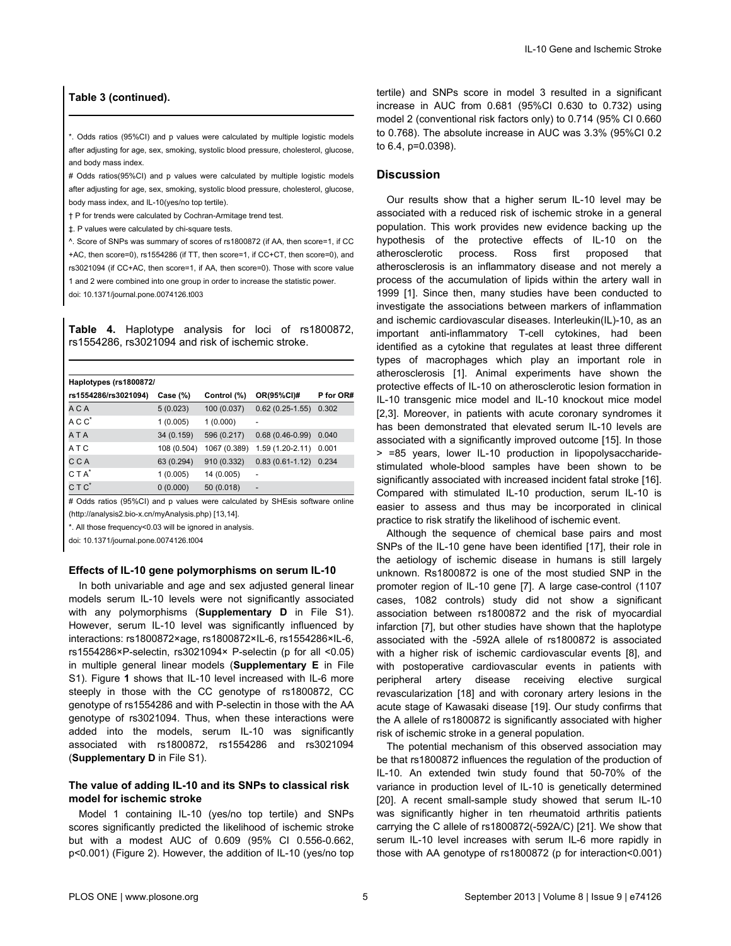# <span id="page-4-0"></span>**Table 3 (continued).**

\*. Odds ratios (95%CI) and p values were calculated by multiple logistic models after adjusting for age, sex, smoking, systolic blood pressure, cholesterol, glucose, and body mass index.

# Odds ratios(95%CI) and p values were calculated by multiple logistic models after adjusting for age, sex, smoking, systolic blood pressure, cholesterol, glucose, body mass index, and IL-10(yes/no top tertile).

- † P for trends were calculated by Cochran-Armitage trend test.
- ‡. P values were calculated by chi-square tests.

^. Score of SNPs was summary of scores of rs1800872 (if AA, then score=1, if CC +AC, then score=0), rs1554286 (if TT, then score=1, if CC+CT, then score=0), and rs3021094 (if CC+AC, then score=1, if AA, then score=0). Those with score value 1 and 2 were combined into one group in order to increase the statistic power. doi: 10.1371/journal.pone.0074126.t003

**Table 4.** Haplotype analysis for loci of rs1800872, rs1554286, rs3021094 and risk of ischemic stroke.

| Haplotypes (rs1800872/ |             |              |                   |           |  |  |  |
|------------------------|-------------|--------------|-------------------|-----------|--|--|--|
| rs1554286/rs3021094)   | Case $(\%)$ | Control (%)  | OR(95%CI)#        | P for OR# |  |  |  |
| A C A                  | 5(0.023)    | 100 (0.037)  | $0.62(0.25-1.55)$ | 0.302     |  |  |  |
| $AC C^*$               | 1(0.005)    | 1(0.000)     |                   |           |  |  |  |
| A T A                  | 34 (0.159)  | 596 (0.217)  | $0.68(0.46-0.99)$ | 0.040     |  |  |  |
| ATC                    | 108 (0.504) | 1067 (0.389) | 1.59 (1.20-2.11)  | 0.001     |  |  |  |
| C C A                  | 63 (0.294)  | 910 (0.332)  | $0.83(0.61-1.12)$ | 0.234     |  |  |  |
| $C T A^*$              | 1(0.005)    | 14 (0.005)   |                   |           |  |  |  |
| C T C <sup>*</sup>     | 0(0.000)    | 50 (0.018)   | $\overline{a}$    |           |  |  |  |

# Odds ratios (95%CI) and p values were calculated by SHEsis software online (http://analysis2.bio-x.cn/myAnalysis.php) [[13](#page-8-0),[14](#page-8-0)].

\*. All those frequency<0.03 will be ignored in analysis.

doi: 10.1371/journal.pone.0074126.t004

#### **Effects of IL-10 gene polymorphisms on serum IL-10**

In both univariable and age and sex adjusted general linear models serum IL-10 levels were not significantly associated with any polymorphisms (**Supplementary D** in [File S1](#page-7-0)). However, serum IL-10 level was significantly influenced by interactions: rs1800872×age, rs1800872×IL-6, rs1554286×IL-6, rs1554286×P-selectin, rs3021094× P-selectin (p for all <0.05) in multiple general linear models (**Supplementary E** in [File](#page-7-0) [S1\)](#page-7-0). [Figure](#page-5-0) **1** shows that IL-10 level increased with IL-6 more steeply in those with the CC genotype of rs1800872, CC genotype of rs1554286 and with P-selectin in those with the AA genotype of rs3021094. Thus, when these interactions were added into the models, serum IL-10 was significantly associated with rs1800872, rs1554286 and rs3021094 (**Supplementary D** in [File S1](#page-7-0)).

# **The value of adding IL-10 and its SNPs to classical risk model for ischemic stroke**

Model 1 containing IL-10 (yes/no top tertile) and SNPs scores significantly predicted the likelihood of ischemic stroke but with a modest AUC of 0.609 (95% CI 0.556-0.662, p<0.001) ([Figure 2\)](#page-6-0). However, the addition of IL-10 (yes/no top tertile) and SNPs score in model 3 resulted in a significant increase in AUC from 0.681 (95%CI 0.630 to 0.732) using model 2 (conventional risk factors only) to 0.714 (95% CI 0.660 to 0.768). The absolute increase in AUC was 3.3% (95%CI 0.2 to 6.4, p=0.0398).

# **Discussion**

Our results show that a higher serum IL-10 level may be associated with a reduced risk of ischemic stroke in a general population. This work provides new evidence backing up the hypothesis of the protective effects of IL-10 on the atherosclerotic process. Ross first proposed that atherosclerosis is an inflammatory disease and not merely a process of the accumulation of lipids within the artery wall in 1999 [[1\]](#page-7-0). Since then, many studies have been conducted to investigate the associations between markers of inflammation and ischemic cardiovascular diseases. Interleukin(IL)-10, as an important anti-inflammatory T-cell cytokines, had been identified as a cytokine that regulates at least three different types of macrophages which play an important role in atherosclerosis [\[1\]](#page-7-0). Animal experiments have shown the protective effects of IL-10 on atherosclerotic lesion formation in IL-10 transgenic mice model and IL-10 knockout mice model [[2,3\]](#page-7-0). Moreover, in patients with acute coronary syndromes it has been demonstrated that elevated serum IL-10 levels are associated with a significantly improved outcome [[15](#page-8-0)]. In those > =85 years, lower IL-10 production in lipopolysaccharidestimulated whole-blood samples have been shown to be significantly associated with increased incident fatal stroke [\[16\]](#page-8-0). Compared with stimulated IL-10 production, serum IL-10 is easier to assess and thus may be incorporated in clinical practice to risk stratify the likelihood of ischemic event.

Although the sequence of chemical base pairs and most SNPs of the IL-10 gene have been identified [\[17\]](#page-8-0), their role in the aetiology of ischemic disease in humans is still largely unknown. Rs1800872 is one of the most studied SNP in the promoter region of IL-10 gene [\[7](#page-7-0)]. A large case-control (1107 cases, 1082 controls) study did not show a significant association between rs1800872 and the risk of myocardial infarction [[7](#page-7-0)], but other studies have shown that the haplotype associated with the -592A allele of rs1800872 is associated with a higher risk of ischemic cardiovascular events [[8](#page-7-0)], and with postoperative cardiovascular events in patients with peripheral artery disease receiving elective surgical revascularization [[18](#page-8-0)] and with coronary artery lesions in the acute stage of Kawasaki disease [\[19\]](#page-8-0). Our study confirms that the A allele of rs1800872 is significantly associated with higher risk of ischemic stroke in a general population.

The potential mechanism of this observed association may be that rs1800872 influences the regulation of the production of IL-10. An extended twin study found that 50-70% of the variance in production level of IL-10 is genetically determined [[20](#page-8-0)]. A recent small-sample study showed that serum IL-10 was significantly higher in ten rheumatoid arthritis patients carrying the C allele of rs1800872(-592A/C) [[21](#page-8-0)]. We show that serum IL-10 level increases with serum IL-6 more rapidly in those with AA genotype of rs1800872 (p for interaction<0.001)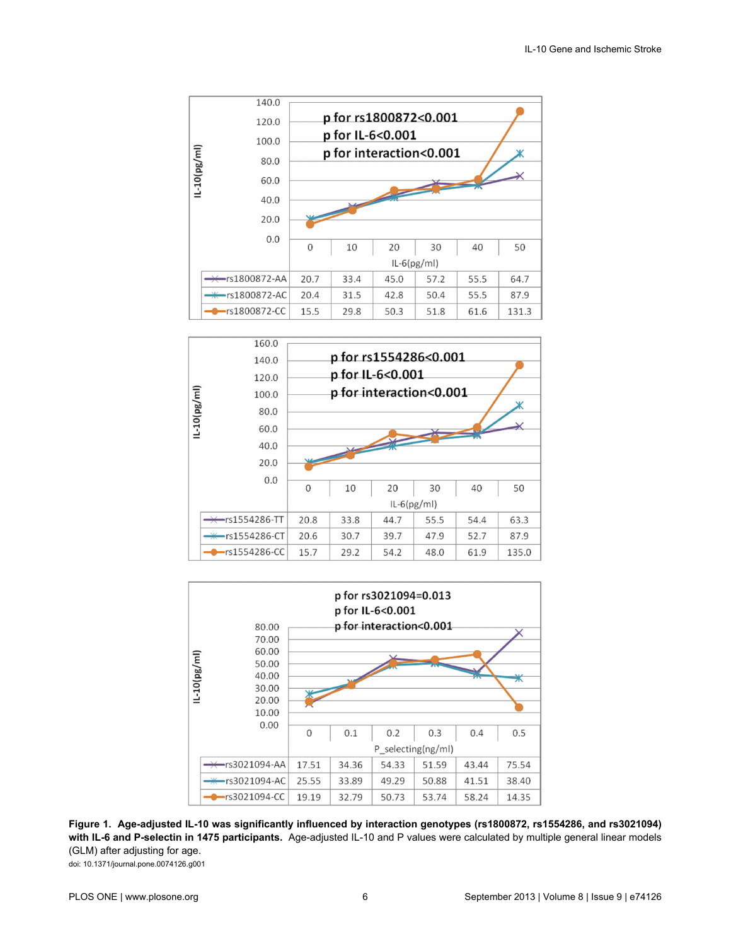<span id="page-5-0"></span>





**Figure 1. Age-adjusted IL-10 was significantly influenced by interaction genotypes (rs1800872, rs1554286, and rs3021094) with IL-6 and P-selectin in 1475 participants.** Age-adjusted IL-10 and P values were calculated by multiple general linear models (GLM) after adjusting for age. doi: 10.1371/journal.pone.0074126.g001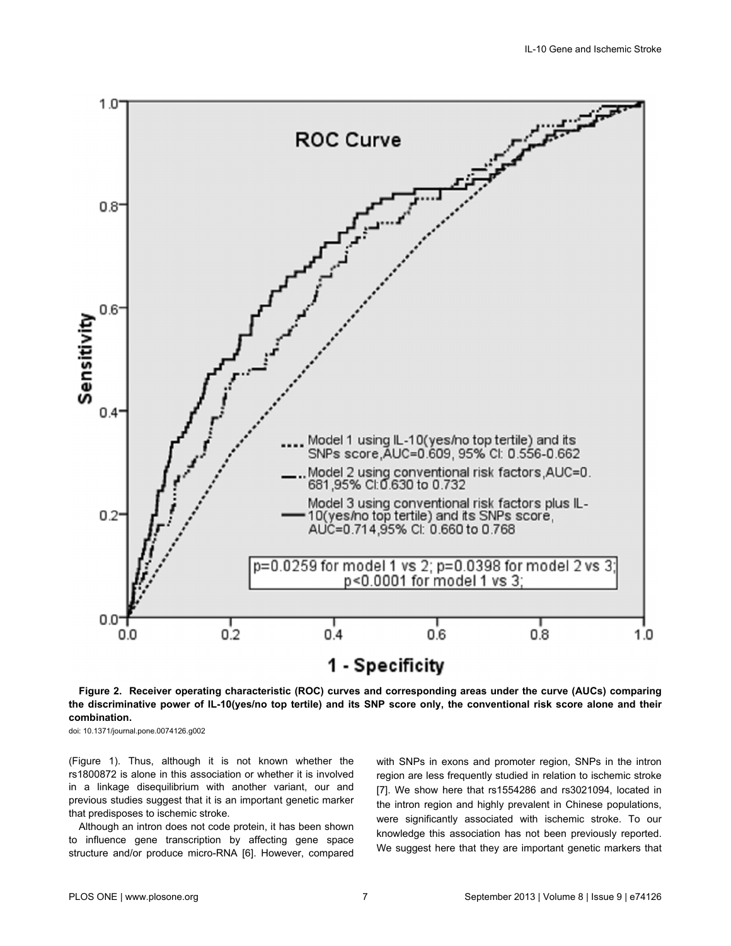<span id="page-6-0"></span>

**Figure 2. Receiver operating characteristic (ROC) curves and corresponding areas under the curve (AUCs) comparing the discriminative power of IL-10(yes/no top tertile) and its SNP score only, the conventional risk score alone and their combination.**

doi: 10.1371/journal.pone.0074126.g002

[\(Figure 1\)](#page-5-0). Thus, although it is not known whether the rs1800872 is alone in this association or whether it is involved in a linkage disequilibrium with another variant, our and previous studies suggest that it is an important genetic marker that predisposes to ischemic stroke.

Although an intron does not code protein, it has been shown to influence gene transcription by affecting gene space structure and/or produce micro-RNA [\[6](#page-7-0)]. However, compared with SNPs in exons and promoter region, SNPs in the intron region are less frequently studied in relation to ischemic stroke [[7\]](#page-7-0). We show here that rs1554286 and rs3021094, located in the intron region and highly prevalent in Chinese populations, were significantly associated with ischemic stroke. To our knowledge this association has not been previously reported. We suggest here that they are important genetic markers that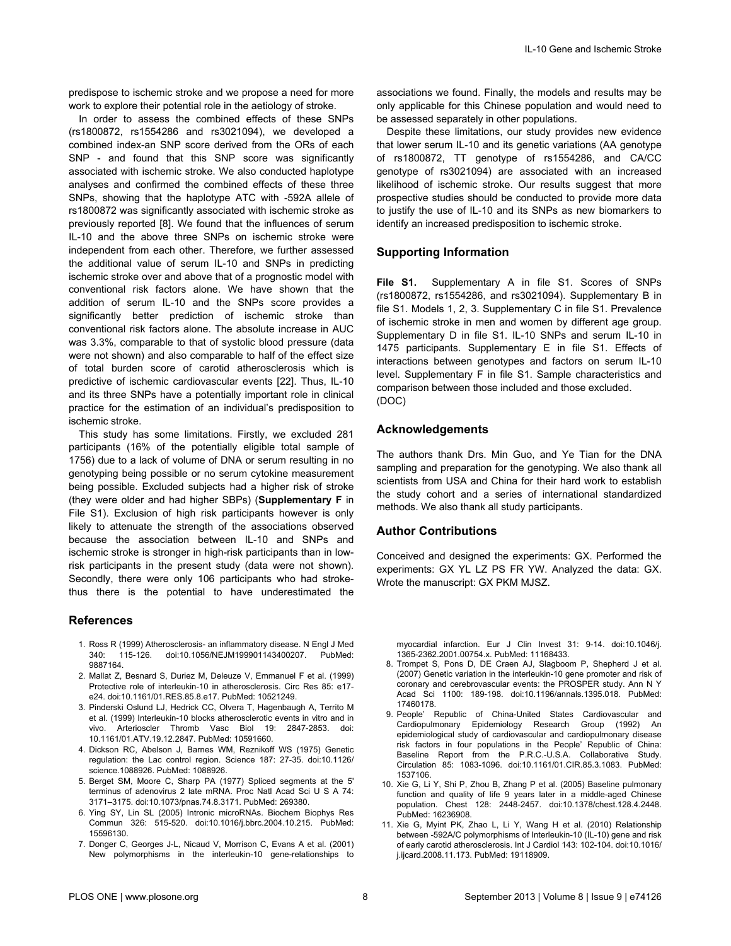<span id="page-7-0"></span>predispose to ischemic stroke and we propose a need for more work to explore their potential role in the aetiology of stroke.

In order to assess the combined effects of these SNPs (rs1800872, rs1554286 and rs3021094), we developed a combined index-an SNP score derived from the ORs of each SNP - and found that this SNP score was significantly associated with ischemic stroke. We also conducted haplotype analyses and confirmed the combined effects of these three SNPs, showing that the haplotype ATC with -592A allele of rs1800872 was significantly associated with ischemic stroke as previously reported [8]. We found that the influences of serum IL-10 and the above three SNPs on ischemic stroke were independent from each other. Therefore, we further assessed the additional value of serum IL-10 and SNPs in predicting ischemic stroke over and above that of a prognostic model with conventional risk factors alone. We have shown that the addition of serum IL-10 and the SNPs score provides a significantly better prediction of ischemic stroke than conventional risk factors alone. The absolute increase in AUC was 3.3%, comparable to that of systolic blood pressure (data were not shown) and also comparable to half of the effect size of total burden score of carotid atherosclerosis which is predictive of ischemic cardiovascular events [\[22\]](#page-8-0). Thus, IL-10 and its three SNPs have a potentially important role in clinical practice for the estimation of an individual's predisposition to ischemic stroke.

This study has some limitations. Firstly, we excluded 281 participants (16% of the potentially eligible total sample of 1756) due to a lack of volume of DNA or serum resulting in no genotyping being possible or no serum cytokine measurement being possible. Excluded subjects had a higher risk of stroke (they were older and had higher SBPs) (**Supplementary F** in File S1). Exclusion of high risk participants however is only likely to attenuate the strength of the associations observed because the association between IL-10 and SNPs and ischemic stroke is stronger in high-risk participants than in lowrisk participants in the present study (data were not shown). Secondly, there were only 106 participants who had strokethus there is the potential to have underestimated the

#### **References**

- 1. Ross R (1999) Atherosclerosis- an inflammatory disease. N Engl J Med 340: 115-126. doi[:10.1056/NEJM199901143400207.](http://dx.doi.org/10.1056/NEJM199901143400207) PubMed: [9887164.](http://www.ncbi.nlm.nih.gov/pubmed/9887164)
- 2. Mallat Z, Besnard S, Duriez M, Deleuze V, Emmanuel F et al. (1999) Protective role of interleukin-10 in atherosclerosis. Circ Res 85: e17 e24. doi[:10.1161/01.RES.85.8.e17](http://dx.doi.org/10.1161/01.RES.85.8.e17). PubMed: [10521249](http://www.ncbi.nlm.nih.gov/pubmed/10521249).
- 3. Pinderski Oslund LJ, Hedrick CC, Olvera T, Hagenbaugh A, Territo M et al. (1999) Interleukin-10 blocks atherosclerotic events in vitro and in vivo. Arterioscler Thromb Vasc Biol 19: 2847-2853. doi: [10.1161/01.ATV.19.12.2847](http://dx.doi.org/10.1161/01.ATV.19.12.2847). PubMed: [10591660](http://www.ncbi.nlm.nih.gov/pubmed/10591660).
- 4. Dickson RC, Abelson J, Barnes WM, Reznikoff WS (1975) Genetic regulation: the Lac control region. Science 187: 27-35. doi[:10.1126/](http://dx.doi.org/10.1126/science.1088926) [science.1088926.](http://dx.doi.org/10.1126/science.1088926) PubMed: [1088926.](http://www.ncbi.nlm.nih.gov/pubmed/1088926)
- 5. Berget SM, Moore C, Sharp PA (1977) Spliced segments at the 5' terminus of adenovirus 2 late mRNA. Proc Natl Acad Sci U S A 74: 3171–3175. doi:[10.1073/pnas.74.8.3171](http://dx.doi.org/10.1073/pnas.74.8.3171). PubMed: [269380.](http://www.ncbi.nlm.nih.gov/pubmed/269380)
- 6. Ying SY, Lin SL (2005) Intronic microRNAs. Biochem Biophys Res Commun 326: 515-520. doi:[10.1016/j.bbrc.2004.10.215](http://dx.doi.org/10.1016/j.bbrc.2004.10.215). PubMed: [15596130.](http://www.ncbi.nlm.nih.gov/pubmed/15596130)
- 7. Donger C, Georges J-L, Nicaud V, Morrison C, Evans A et al. (2001) New polymorphisms in the interleukin-10 gene-relationships to

associations we found. Finally, the models and results may be only applicable for this Chinese population and would need to be assessed separately in other populations.

Despite these limitations, our study provides new evidence that lower serum IL-10 and its genetic variations (AA genotype of rs1800872, TT genotype of rs1554286, and CA/CC genotype of rs3021094) are associated with an increased likelihood of ischemic stroke. Our results suggest that more prospective studies should be conducted to provide more data to justify the use of IL-10 and its SNPs as new biomarkers to identify an increased predisposition to ischemic stroke.

#### **Supporting Information**

**File S1.** Supplementary A in file S1. Scores of SNPs (rs1800872, rs1554286, and rs3021094). Supplementary B in file S1. Models 1, 2, 3. Supplementary C in file S1. Prevalence of ischemic stroke in men and women by different age group. Supplementary D in file S1. IL-10 SNPs and serum IL-10 in 1475 participants. Supplementary E in file S1. Effects of interactions between genotypes and factors on serum IL-10 level. Supplementary F in file S1. Sample characteristics and comparison between those included and those excluded. (DOC)

#### **Acknowledgements**

The authors thank Drs. Min Guo, and Ye Tian for the DNA sampling and preparation for the genotyping. We also thank all scientists from USA and China for their hard work to establish the study cohort and a series of international standardized methods. We also thank all study participants.

# **Author Contributions**

Conceived and designed the experiments: GX. Performed the experiments: GX YL LZ PS FR YW. Analyzed the data: GX. Wrote the manuscript: GX PKM MJSZ.

myocardial infarction. Eur J Clin Invest 31: 9-14. doi:[10.1046/j.](http://dx.doi.org/10.1046/j.1365-2362.2001.00754.x) [1365-2362.2001.00754.x](http://dx.doi.org/10.1046/j.1365-2362.2001.00754.x). PubMed: [11168433](http://www.ncbi.nlm.nih.gov/pubmed/11168433).

- 8. Trompet S, Pons D, DE Craen AJ, Slagboom P, Shepherd J et al. (2007) Genetic variation in the interleukin-10 gene promoter and risk of coronary and cerebrovascular events: the PROSPER study. Ann N Y Acad Sci 1100: 189-198. doi[:10.1196/annals.1395.018](http://dx.doi.org/10.1196/annals.1395.018). PubMed: [17460178.](http://www.ncbi.nlm.nih.gov/pubmed/17460178)
- 9. People' Republic of China-United States Cardiovascular and Cardiopulmonary Epidemiology Research Group (1992) An epidemiological study of cardiovascular and cardiopulmonary disease risk factors in four populations in the People' Republic of China: Baseline Report from the P.R.C.-U.S.A. Collaborative Study. Circulation 85: 1083-1096. doi[:10.1161/01.CIR.85.3.1083](http://dx.doi.org/10.1161/01.CIR.85.3.1083). PubMed: [1537106.](http://www.ncbi.nlm.nih.gov/pubmed/1537106)
- 10. Xie G, Li Y, Shi P, Zhou B, Zhang P et al. (2005) Baseline pulmonary function and quality of life 9 years later in a middle-aged Chinese population. Chest 128: 2448-2457. doi[:10.1378/chest.128.4.2448](http://dx.doi.org/10.1378/chest.128.4.2448). PubMed: [16236908.](http://www.ncbi.nlm.nih.gov/pubmed/16236908)
- 11. Xie G, Myint PK, Zhao L, Li Y, Wang H et al. (2010) Relationship between -592A/C polymorphisms of Interleukin-10 (IL-10) gene and risk of early carotid atherosclerosis. Int J Cardiol 143: 102-104. doi[:10.1016/](http://dx.doi.org/10.1016/j.ijcard.2008.11.173) [j.ijcard.2008.11.173.](http://dx.doi.org/10.1016/j.ijcard.2008.11.173) PubMed: [19118909.](http://www.ncbi.nlm.nih.gov/pubmed/19118909)